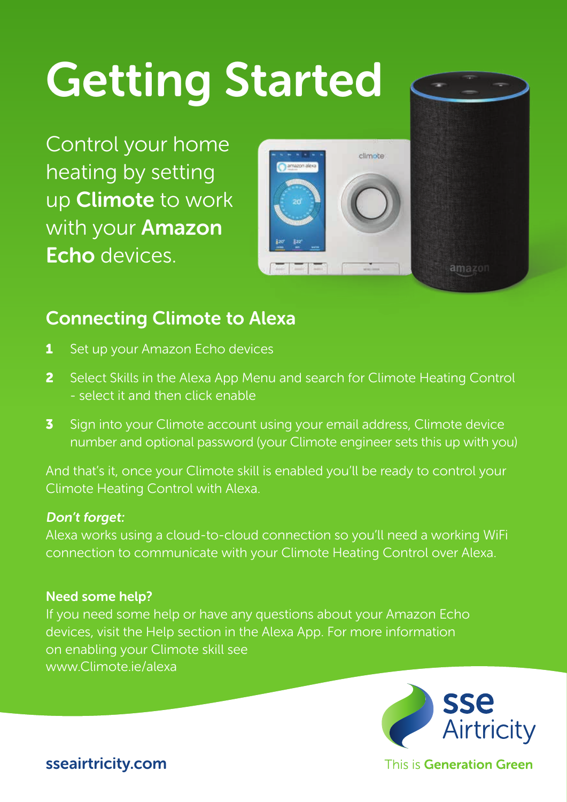# Getting Started

Control your home heating by setting up Climote to work with your **Amazon** Echo devices.



## Connecting Climote to Alexa

- 1 Set up your Amazon Echo devices
- 2 Select Skills in the Alexa App Menu and search for Climote Heating Control - select it and then click enable
- 3 Sign into your Climote account using your email address, Climote device number and optional password (your Climote engineer sets this up with you)

And that's it, once your Climote skill is enabled you'll be ready to control your Climote Heating Control with Alexa.

#### Don't forget:

Alexa works using a cloud-to-cloud connection so you'll need a working WiFi connection to communicate with your Climote Heating Control over Alexa.

#### Need some help?

If you need some help or have any questions about your Amazon Echo devices, visit the Help section in the Alexa App. For more information on enabling your Climote skill see www.Climote.ie/alexa



This is Generation Green

sseairtricity.com